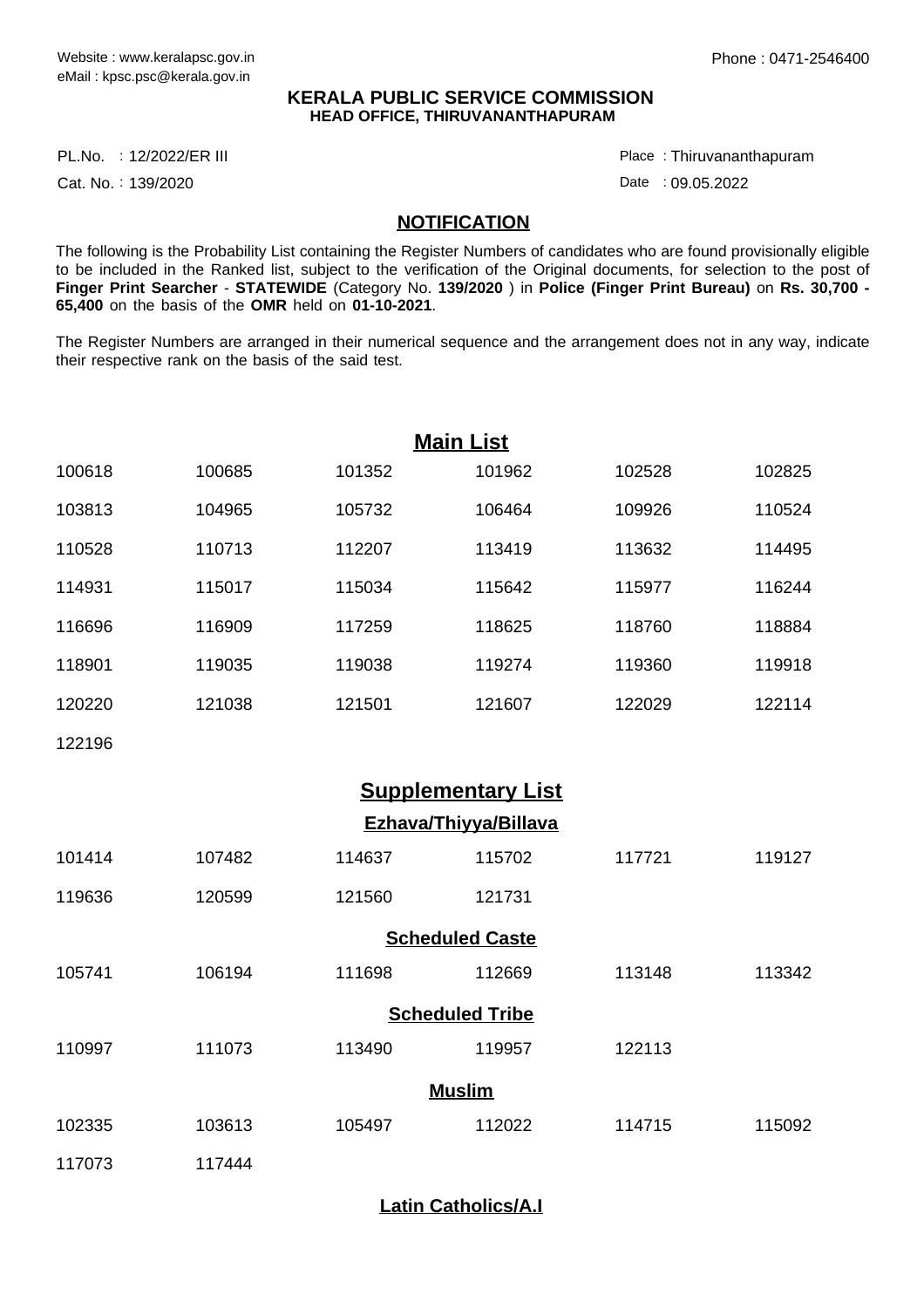## **KERALA PUBLIC SERVICE COMMISSION HEAD OFFICE, THIRUVANANTHAPURAM**

PL.No. : 12/2022/ER III Place Provident and the proposal proposal providence of the Place

Cat. No.: 139/2020

Thiruvananthapuram :

Date : 09.05.2022

## **NOTIFICATION**

The following is the Probability List containing the Register Numbers of candidates who are found provisionally eligible to be included in the Ranked list, subject to the verification of the Original documents, for selection to the post of **Finger Print Searcher** - **STATEWIDE** (Category No. **139/2020** ) in **Police (Finger Print Bureau)** on **Rs. 30,700 - 65,400** on the basis of the **OMR** held on **01-10-2021**.

The Register Numbers are arranged in their numerical sequence and the arrangement does not in any way, indicate their respective rank on the basis of the said test.

| <b>Main List</b>          |        |        |        |        |        |  |  |  |  |  |
|---------------------------|--------|--------|--------|--------|--------|--|--|--|--|--|
| 100618                    | 100685 | 101352 | 101962 | 102528 | 102825 |  |  |  |  |  |
| 103813                    | 104965 | 105732 | 106464 | 109926 | 110524 |  |  |  |  |  |
| 110528                    | 110713 | 112207 | 113419 | 113632 | 114495 |  |  |  |  |  |
| 114931                    | 115017 | 115034 | 115642 | 115977 | 116244 |  |  |  |  |  |
| 116696                    | 116909 | 117259 | 118625 | 118760 | 118884 |  |  |  |  |  |
| 118901                    | 119035 | 119038 | 119274 | 119360 | 119918 |  |  |  |  |  |
| 120220                    | 121038 | 121501 | 121607 | 122029 | 122114 |  |  |  |  |  |
| 122196                    |        |        |        |        |        |  |  |  |  |  |
| <b>Supplementary List</b> |        |        |        |        |        |  |  |  |  |  |
| Ezhava/Thiyya/Billava     |        |        |        |        |        |  |  |  |  |  |
| 101414                    | 107482 | 114637 | 115702 | 117721 | 119127 |  |  |  |  |  |
| 119636                    | 120599 | 121560 | 121731 |        |        |  |  |  |  |  |
| <b>Scheduled Caste</b>    |        |        |        |        |        |  |  |  |  |  |
| 105741                    | 106194 | 111698 | 112669 | 113148 | 113342 |  |  |  |  |  |
| <b>Scheduled Tribe</b>    |        |        |        |        |        |  |  |  |  |  |
| 110997                    | 111073 | 113490 | 119957 | 122113 |        |  |  |  |  |  |
| <b>Muslim</b>             |        |        |        |        |        |  |  |  |  |  |
| 102335                    | 103613 | 105497 | 112022 | 114715 | 115092 |  |  |  |  |  |
| 117073                    | 117444 |        |        |        |        |  |  |  |  |  |

**Latin Catholics/A.I**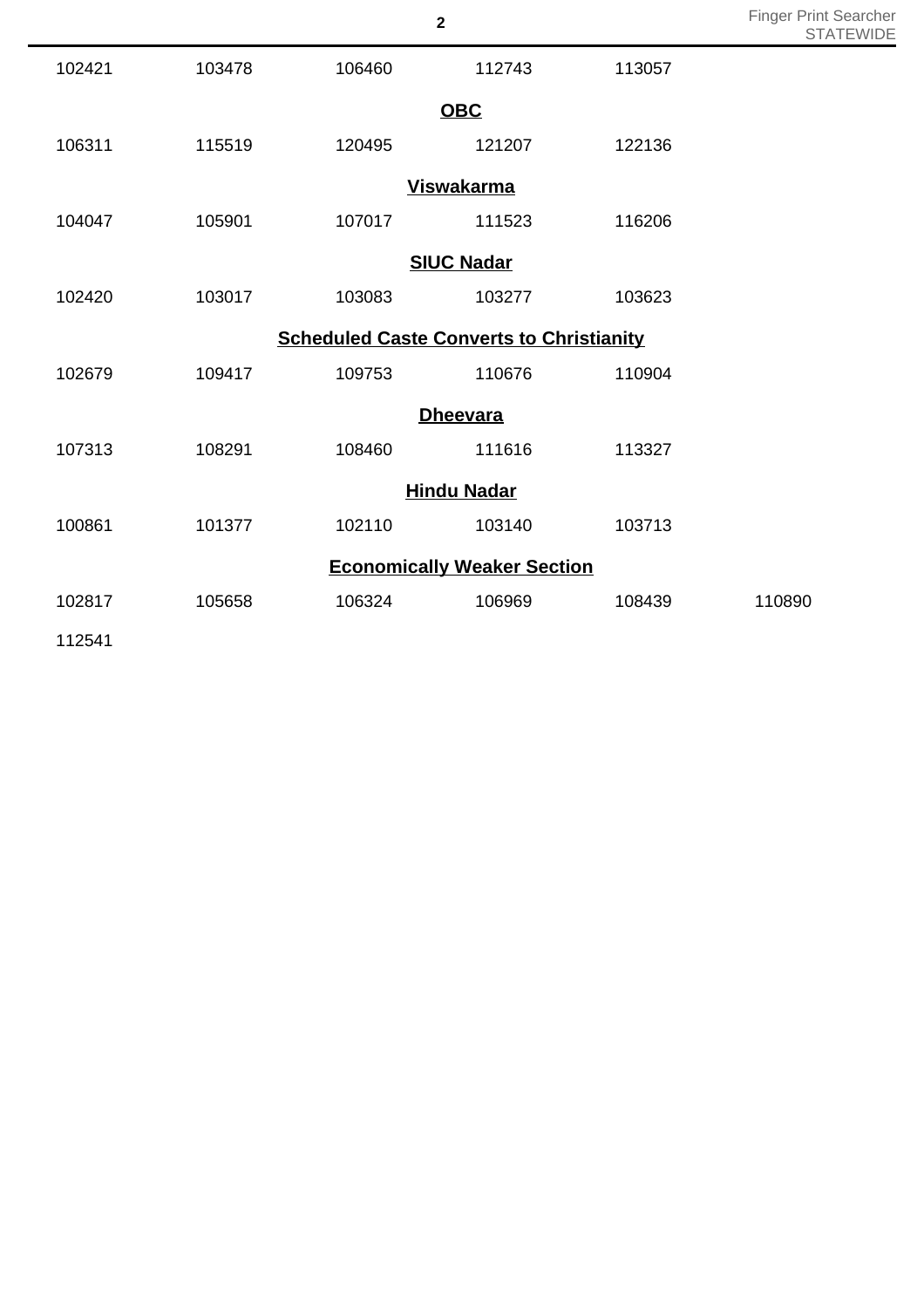|                                                 |        |        |        |        | 5 I A  |  |  |  |  |
|-------------------------------------------------|--------|--------|--------|--------|--------|--|--|--|--|
| 102421                                          | 103478 | 106460 | 112743 | 113057 |        |  |  |  |  |
| <b>OBC</b>                                      |        |        |        |        |        |  |  |  |  |
| 106311                                          | 115519 | 120495 | 121207 | 122136 |        |  |  |  |  |
| <b>Viswakarma</b>                               |        |        |        |        |        |  |  |  |  |
| 104047                                          | 105901 | 107017 | 111523 | 116206 |        |  |  |  |  |
| <b>SIUC Nadar</b>                               |        |        |        |        |        |  |  |  |  |
| 102420                                          | 103017 | 103083 | 103277 | 103623 |        |  |  |  |  |
| <b>Scheduled Caste Converts to Christianity</b> |        |        |        |        |        |  |  |  |  |
| 102679                                          | 109417 | 109753 | 110676 | 110904 |        |  |  |  |  |
| <b>Dheevara</b>                                 |        |        |        |        |        |  |  |  |  |
| 107313                                          | 108291 | 108460 | 111616 | 113327 |        |  |  |  |  |
| <b>Hindu Nadar</b>                              |        |        |        |        |        |  |  |  |  |
| 100861                                          | 101377 | 102110 | 103140 | 103713 |        |  |  |  |  |
| <b>Economically Weaker Section</b>              |        |        |        |        |        |  |  |  |  |
| 102817                                          | 105658 | 106324 | 106969 | 108439 | 110890 |  |  |  |  |
| 112541                                          |        |        |        |        |        |  |  |  |  |